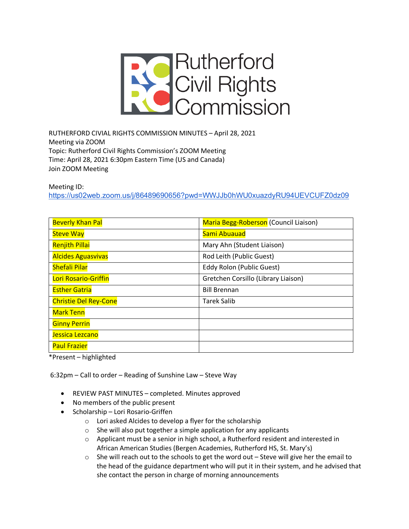

RUTHERFORD CIVIAL RIGHTS COMMISSION MINUTES – April 28, 2021 Meeting via ZOOM Topic: Rutherford Civil Rights Commission's ZOOM Meeting Time: April 28, 2021 6:30pm Eastern Time (US and Canada) Join ZOOM Meeting

Meeting ID:

https://us02web.zoom.us/j/86489690656?pwd=WWJJb0hWU0xuazdyRU94UEVCUFZ0dz09

| <b>Beverly Khan Pal</b>      | Maria Begg-Roberson (Council Liaison) |
|------------------------------|---------------------------------------|
| <b>Steve Way</b>             | Sami Abuauad                          |
| <b>Renjith Pillai</b>        | Mary Ahn (Student Liaison)            |
| <b>Alcides Aguasvivas</b>    | Rod Leith (Public Guest)              |
| <b>Shefali Pilar</b>         | Eddy Rolon (Public Guest)             |
| Lori Rosario-Griffin         | Gretchen Corsillo (Library Liaison)   |
| <b>Esther Gatria</b>         | <b>Bill Brennan</b>                   |
| <b>Christie Del Rey-Cone</b> | <b>Tarek Salib</b>                    |
| <b>Mark Tenn</b>             |                                       |
| <b>Ginny Perrin</b>          |                                       |
| Jessica Lezcano              |                                       |
| <b>Paul Frazier</b>          |                                       |

\*Present – highlighted

6:32pm – Call to order – Reading of Sunshine Law – Steve Way

- REVIEW PAST MINUTES completed. Minutes approved
- No members of the public present
- Scholarship Lori Rosario-Griffen
	- o Lori asked Alcides to develop a flyer for the scholarship
	- o She will also put together a simple application for any applicants
	- o Applicant must be a senior in high school, a Rutherford resident and interested in African American Studies (Bergen Academies, Rutherford HS, St. Mary's)
	- $\circ$  She will reach out to the schools to get the word out Steve will give her the email to the head of the guidance department who will put it in their system, and he advised that she contact the person in charge of morning announcements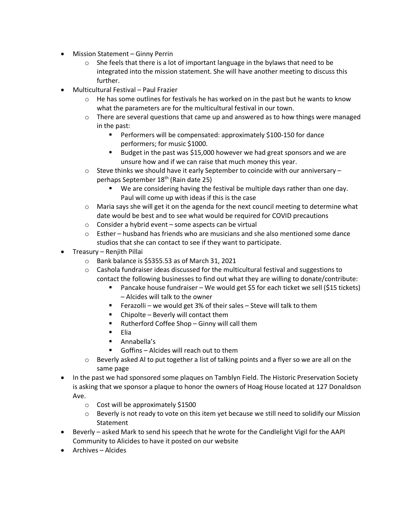- Mission Statement Ginny Perrin
	- o She feels that there is a lot of important language in the bylaws that need to be integrated into the mission statement. She will have another meeting to discuss this further.
- Multicultural Festival Paul Frazier
	- $\circ$  He has some outlines for festivals he has worked on in the past but he wants to know what the parameters are for the multicultural festival in our town.
	- $\circ$  There are several questions that came up and answered as to how things were managed in the past:
		- Performers will be compensated: approximately \$100-150 for dance performers; for music \$1000.
		- Budget in the past was \$15,000 however we had great sponsors and we are unsure how and if we can raise that much money this year.
	- $\circ$  Steve thinks we should have it early September to coincide with our anniversary perhaps September 18<sup>th</sup> (Rain date 25)
		- § We are considering having the festival be multiple days rather than one day. Paul will come up with ideas if this is the case
	- $\circ$  Maria says she will get it on the agenda for the next council meeting to determine what date would be best and to see what would be required for COVID precautions
	- $\circ$  Consider a hybrid event some aspects can be virtual
	- $\circ$  Esther husband has friends who are musicians and she also mentioned some dance studios that she can contact to see if they want to participate.
- Treasury Renjith Pillai
	- o Bank balance is \$5355.53 as of March 31, 2021
	- $\circ$  Cashola fundraiser ideas discussed for the multicultural festival and suggestions to contact the following businesses to find out what they are willing to donate/contribute:
		- § Pancake house fundraiser We would get \$5 for each ticket we sell (\$15 tickets) – Alcides will talk to the owner
		- Ferazolli we would get 3% of their sales Steve will talk to them
		- Chipolte Beverly will contact them
		- Rutherford Coffee Shop Ginny will call them
		- Elia
		- § Annabella's
		- Goffins Alcides will reach out to them
	- o Beverly asked Al to put together a list of talking points and a flyer so we are all on the same page
- In the past we had sponsored some plaques on Tamblyn Field. The Historic Preservation Society is asking that we sponsor a plaque to honor the owners of Hoag House located at 127 Donaldson Ave.
	- $\circ$  Cost will be approximately \$1500
	- o Beverly is not ready to vote on this item yet because we still need to solidify our Mission Statement
- Beverly asked Mark to send his speech that he wrote for the Candlelight Vigil for the AAPI Community to Alicides to have it posted on our website
- Archives Alcides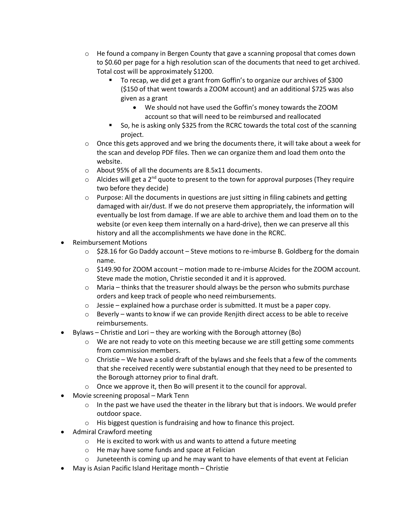- $\circ$  He found a company in Bergen County that gave a scanning proposal that comes down to \$0.60 per page for a high resolution scan of the documents that need to get archived. Total cost will be approximately \$1200.
	- To recap, we did get a grant from Goffin's to organize our archives of \$300 (\$150 of that went towards a ZOOM account) and an additional \$725 was also given as a grant
		- We should not have used the Goffin's money towards the ZOOM account so that will need to be reimbursed and reallocated
	- § So, he is asking only \$325 from the RCRC towards the total cost of the scanning project.
- $\circ$  Once this gets approved and we bring the documents there, it will take about a week for the scan and develop PDF files. Then we can organize them and load them onto the website.
- o About 95% of all the documents are 8.5x11 documents.
- $\circ$  Alcides will get a 2<sup>nd</sup> quote to present to the town for approval purposes (They require two before they decide)
- $\circ$  Purpose: All the documents in questions are just sitting in filing cabinets and getting damaged with air/dust. If we do not preserve them appropriately, the information will eventually be lost from damage. If we are able to archive them and load them on to the website (or even keep them internally on a hard-drive), then we can preserve all this history and all the accomplishments we have done in the RCRC.
- Reimbursement Motions
	- $\circ$  \$28.16 for Go Daddy account Steve motions to re-imburse B. Goldberg for the domain name.
	- $\circ$  \$149.90 for ZOOM account motion made to re-imburse Alcides for the ZOOM account. Steve made the motion, Christie seconded it and it is approved.
	- $\circ$  Maria thinks that the treasurer should always be the person who submits purchase orders and keep track of people who need reimbursements.
	- o Jessie explained how a purchase order is submitted. It must be a paper copy.
	- o Beverly wants to know if we can provide Renjith direct access to be able to receive reimbursements.
- Bylaws Christie and Lori they are working with the Borough attorney (Bo)
	- o We are not ready to vote on this meeting because we are still getting some comments from commission members.
	- $\circ$  Christie We have a solid draft of the bylaws and she feels that a few of the comments that she received recently were substantial enough that they need to be presented to the Borough attorney prior to final draft.
	- o Once we approve it, then Bo will present it to the council for approval.
- Movie screening proposal Mark Tenn
	- $\circ$  In the past we have used the theater in the library but that is indoors. We would prefer outdoor space.
	- o His biggest question is fundraising and how to finance this project.
- Admiral Crawford meeting
	- o He is excited to work with us and wants to attend a future meeting
	- o He may have some funds and space at Felician
	- $\circ$  Juneteenth is coming up and he may want to have elements of that event at Felician
- May is Asian Pacific Island Heritage month Christie